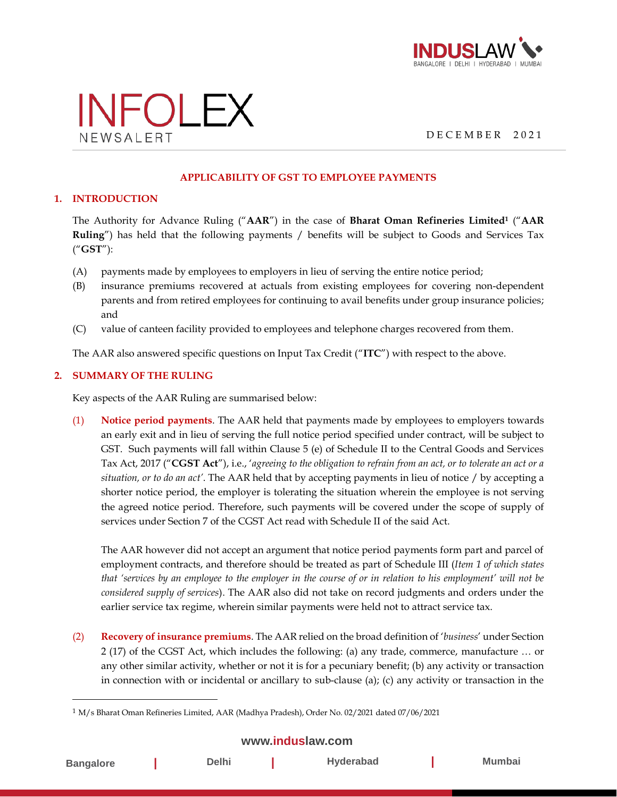



D E C E M B E R 2 0 2 1

#### **APPLICABILITY OF GST TO EMPLOYEE PAYMENTS**

### **1. INTRODUCTION**

The Authority for Advance Ruling ("**AAR**") in the case of **Bharat Oman Refineries Limited<sup>1</sup>** ("**AAR Ruling**") has held that the following payments / benefits will be subject to Goods and Services Tax ("**GST**"):

- (A) payments made by employees to employers in lieu of serving the entire notice period;
- (B) insurance premiums recovered at actuals from existing employees for covering non-dependent parents and from retired employees for continuing to avail benefits under group insurance policies; and
- (C) value of canteen facility provided to employees and telephone charges recovered from them.

The AAR also answered specific questions on Input Tax Credit ("**ITC**") with respect to the above.

### **2. SUMMARY OF THE RULING**

Key aspects of the AAR Ruling are summarised below:

(1) **Notice period payments**. The AAR held that payments made by employees to employers towards an early exit and in lieu of serving the full notice period specified under contract, will be subject to GST. Such payments will fall within Clause 5 (e) of Schedule II to the Central Goods and Services Tax Act, 2017 ("**CGST Act**"), i.e., '*agreeing to the obligation to refrain from an act, or to tolerate an act or a situation, or to do an act'*. The AAR held that by accepting payments in lieu of notice / by accepting a shorter notice period, the employer is tolerating the situation wherein the employee is not serving the agreed notice period. Therefore, such payments will be covered under the scope of supply of services under Section 7 of the CGST Act read with Schedule II of the said Act.

The AAR however did not accept an argument that notice period payments form part and parcel of employment contracts, and therefore should be treated as part of Schedule III (*Item 1 of which states that 'services by an employee to the employer in the course of or in relation to his employment' will not be considered supply of services*). The AAR also did not take on record judgments and orders under the earlier service tax regime, wherein similar payments were held not to attract service tax.

(2) **Recovery of insurance premiums**. The AAR relied on the broad definition of '*business*' under Section 2 (17) of the CGST Act, which includes the following: (a) any trade, commerce, manufacture … or any other similar activity, whether or not it is for a pecuniary benefit; (b) any activity or transaction in connection with or incidental or ancillary to sub-clause (a); (c) any activity or transaction in the

## **[www.induslaw.com](http://www.induslaw.com/)**

| <b>Bangalore</b> | <b>Delhi</b> | Hyderabad | <b>Mumbai</b> |
|------------------|--------------|-----------|---------------|
|                  |              |           |               |

<sup>1</sup> M/s Bharat Oman Refineries Limited, AAR (Madhya Pradesh), Order No. 02/2021 dated 07/06/2021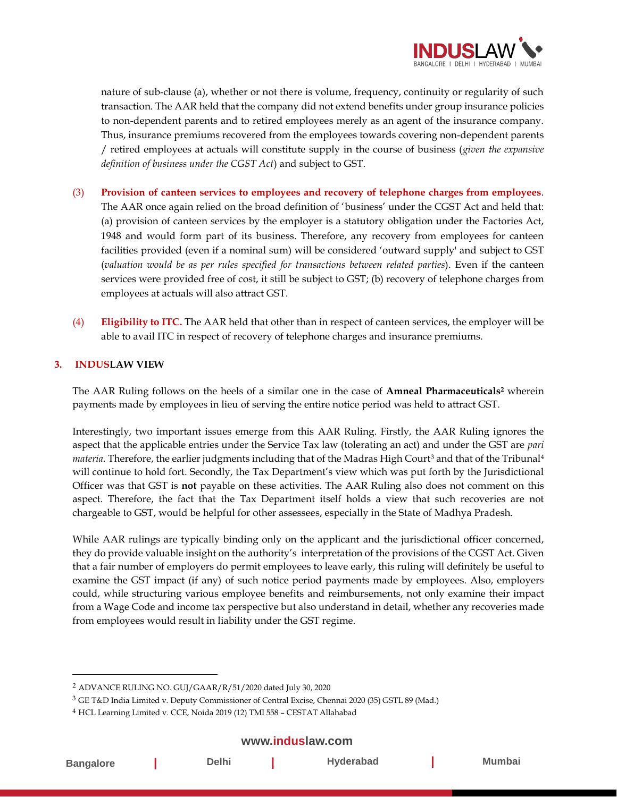

nature of sub-clause (a), whether or not there is volume, frequency, continuity or regularity of such transaction. The AAR held that the company did not extend benefits under group insurance policies to non-dependent parents and to retired employees merely as an agent of the insurance company. Thus, insurance premiums recovered from the employees towards covering non-dependent parents / retired employees at actuals will constitute supply in the course of business (*given the expansive definition of business under the CGST Act*) and subject to GST.

- (3) **Provision of canteen services to employees and recovery of telephone charges from employees**. The AAR once again relied on the broad definition of 'business' under the CGST Act and held that: (a) provision of canteen services by the employer is a statutory obligation under the Factories Act, 1948 and would form part of its business. Therefore, any recovery from employees for canteen facilities provided (even if a nominal sum) will be considered 'outward supply' and subject to GST (*valuation would be as per rules specified for transactions between related parties*). Even if the canteen services were provided free of cost, it still be subject to GST; (b) recovery of telephone charges from employees at actuals will also attract GST.
- (4) **Eligibility to ITC.** The AAR held that other than in respect of canteen services, the employer will be able to avail ITC in respect of recovery of telephone charges and insurance premiums.

### **3. INDUSLAW VIEW**

The AAR Ruling follows on the heels of a similar one in the case of **Amneal Pharmaceuticals<sup>2</sup>** wherein payments made by employees in lieu of serving the entire notice period was held to attract GST.

Interestingly, two important issues emerge from this AAR Ruling. Firstly, the AAR Ruling ignores the aspect that the applicable entries under the Service Tax law (tolerating an act) and under the GST are *pari materia*. Therefore, the earlier judgments including that of the Madras High Court<sup>3</sup> and that of the Tribunal<sup>4</sup> will continue to hold fort. Secondly, the Tax Department's view which was put forth by the Jurisdictional Officer was that GST is **not** payable on these activities. The AAR Ruling also does not comment on this aspect. Therefore, the fact that the Tax Department itself holds a view that such recoveries are not chargeable to GST, would be helpful for other assessees, especially in the State of Madhya Pradesh.

While AAR rulings are typically binding only on the applicant and the jurisdictional officer concerned, they do provide valuable insight on the authority's interpretation of the provisions of the CGST Act. Given that a fair number of employers do permit employees to leave early, this ruling will definitely be useful to examine the GST impact (if any) of such notice period payments made by employees. Also, employers could, while structuring various employee benefits and reimbursements, not only examine their impact from a Wage Code and income tax perspective but also understand in detail, whether any recoveries made from employees would result in liability under the GST regime.

## **[www.induslaw.com](http://www.induslaw.com/)**

| <b>Bangalore</b> | <b>Delhi</b> | Hyderabad | Mumbai |
|------------------|--------------|-----------|--------|
|                  |              |           |        |

<sup>2</sup> ADVANCE RULING NO. GUJ/GAAR/R/51/2020 dated July 30, 2020

<sup>3</sup> GE T&D India Limited v. Deputy Commissioner of Central Excise, Chennai 2020 (35) GSTL 89 (Mad.)

<sup>4</sup> HCL Learning Limited v. CCE, Noida 2019 (12) TMI 558 – CESTAT Allahabad